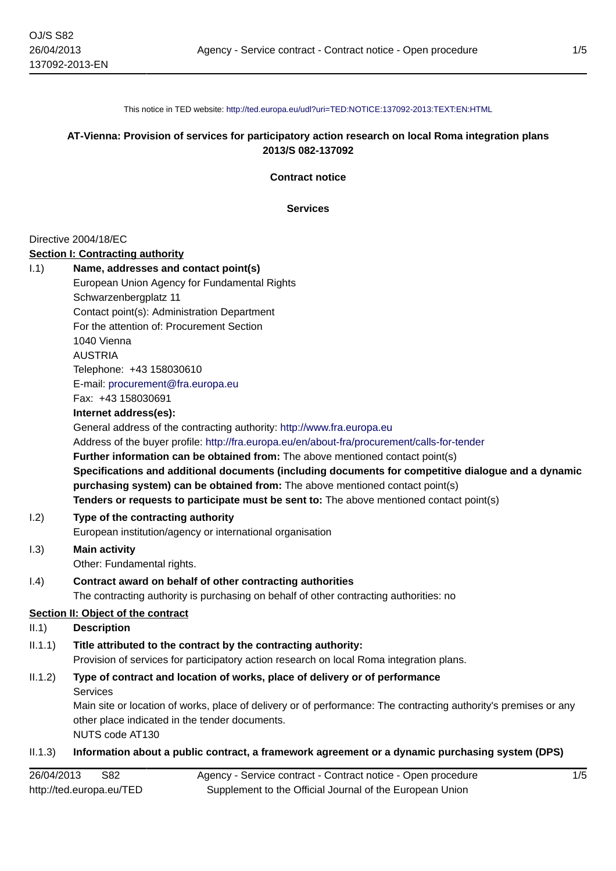This notice in TED website: <http://ted.europa.eu/udl?uri=TED:NOTICE:137092-2013:TEXT:EN:HTML>

## **AT-Vienna: Provision of services for participatory action research on local Roma integration plans 2013/S 082-137092**

**Contract notice**

**Services**

#### Directive 2004/18/EC

### **Section I: Contracting authority**

|      | Secuoli I. Contracting additionly                                                                   |
|------|-----------------------------------------------------------------------------------------------------|
| 1.1) | Name, addresses and contact point(s)                                                                |
|      | European Union Agency for Fundamental Rights                                                        |
|      | Schwarzenbergplatz 11                                                                               |
|      | Contact point(s): Administration Department                                                         |
|      | For the attention of: Procurement Section                                                           |
|      | 1040 Vienna                                                                                         |
|      | <b>AUSTRIA</b>                                                                                      |
|      | Telephone: +43 158030610                                                                            |
|      | E-mail: procurement@fra.europa.eu                                                                   |
|      | Fax: +43 158030691                                                                                  |
|      | Internet address(es):                                                                               |
|      | General address of the contracting authority: http://www.fra.europa.eu                              |
|      | Address of the buyer profile: http://fra.europa.eu/en/about-fra/procurement/calls-for-tender        |
|      | <b>Further information can be obtained from:</b> The above mentioned contact point(s)               |
|      | Specifications and additional documents (including documents for competitive dialogue and a dynamic |
|      | purchasing system) can be obtained from: The above mentioned contact point(s)                       |
|      | Tenders or requests to participate must be sent to: The above mentioned contact point(s)            |
| 1.2) | Type of the contracting authority                                                                   |
|      | European institution/agency or international organisation                                           |
|      |                                                                                                     |

- I.3) **Main activity** Other: Fundamental rights.
- I.4) **Contract award on behalf of other contracting authorities** The contracting authority is purchasing on behalf of other contracting authorities: no

## **Section II: Object of the contract**

# II.1) **Description**

- II.1.1) **Title attributed to the contract by the contracting authority:** Provision of services for participatory action research on local Roma integration plans.
- II.1.2) **Type of contract and location of works, place of delivery or of performance** Services

Main site or location of works, place of delivery or of performance: The contracting authority's premises or any other place indicated in the tender documents.

NUTS code AT130

## II.1.3) **Information about a public contract, a framework agreement or a dynamic purchasing system (DPS)**

| 26/04/2013<br>S82        | Agency - Service contract - Contract notice - Open procedure |
|--------------------------|--------------------------------------------------------------|
| http://ted.europa.eu/TED | Supplement to the Official Journal of the European Union     |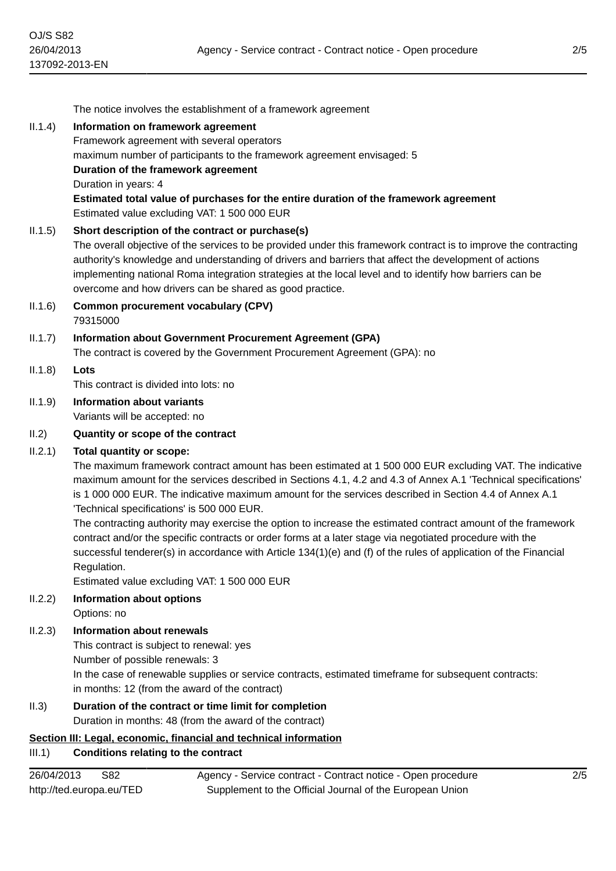|            | The notice involves the establishment of a framework agreement                                                                                                                                                                                                                                                                                                                                                                                                                                                                                                                                                                                                                                                                                                                                                             |
|------------|----------------------------------------------------------------------------------------------------------------------------------------------------------------------------------------------------------------------------------------------------------------------------------------------------------------------------------------------------------------------------------------------------------------------------------------------------------------------------------------------------------------------------------------------------------------------------------------------------------------------------------------------------------------------------------------------------------------------------------------------------------------------------------------------------------------------------|
| II.1.4)    | Information on framework agreement<br>Framework agreement with several operators<br>maximum number of participants to the framework agreement envisaged: 5<br>Duration of the framework agreement<br>Duration in years: 4<br>Estimated total value of purchases for the entire duration of the framework agreement                                                                                                                                                                                                                                                                                                                                                                                                                                                                                                         |
|            | Estimated value excluding VAT: 1 500 000 EUR                                                                                                                                                                                                                                                                                                                                                                                                                                                                                                                                                                                                                                                                                                                                                                               |
| II.1.5)    | Short description of the contract or purchase(s)<br>The overall objective of the services to be provided under this framework contract is to improve the contracting<br>authority's knowledge and understanding of drivers and barriers that affect the development of actions<br>implementing national Roma integration strategies at the local level and to identify how barriers can be<br>overcome and how drivers can be shared as good practice.                                                                                                                                                                                                                                                                                                                                                                     |
| II.1.6)    | <b>Common procurement vocabulary (CPV)</b><br>79315000                                                                                                                                                                                                                                                                                                                                                                                                                                                                                                                                                                                                                                                                                                                                                                     |
| II.1.7)    | <b>Information about Government Procurement Agreement (GPA)</b><br>The contract is covered by the Government Procurement Agreement (GPA): no                                                                                                                                                                                                                                                                                                                                                                                                                                                                                                                                                                                                                                                                               |
| II.1.8)    | Lots<br>This contract is divided into lots: no                                                                                                                                                                                                                                                                                                                                                                                                                                                                                                                                                                                                                                                                                                                                                                             |
| II.1.9)    | <b>Information about variants</b><br>Variants will be accepted: no                                                                                                                                                                                                                                                                                                                                                                                                                                                                                                                                                                                                                                                                                                                                                         |
| II.2)      | Quantity or scope of the contract                                                                                                                                                                                                                                                                                                                                                                                                                                                                                                                                                                                                                                                                                                                                                                                          |
| II.2.1)    | Total quantity or scope:<br>The maximum framework contract amount has been estimated at 1500 000 EUR excluding VAT. The indicative<br>maximum amount for the services described in Sections 4.1, 4.2 and 4.3 of Annex A.1 Technical specifications'<br>is 1 000 000 EUR. The indicative maximum amount for the services described in Section 4.4 of Annex A.1<br>'Technical specifications' is 500 000 EUR.<br>The contracting authority may exercise the option to increase the estimated contract amount of the framework<br>contract and/or the specific contracts or order forms at a later stage via negotiated procedure with the<br>successful tenderer(s) in accordance with Article 134(1)(e) and (f) of the rules of application of the Financial<br>Regulation.<br>Estimated value excluding VAT: 1 500 000 EUR |
| II.2.2)    | Information about options<br>Options: no                                                                                                                                                                                                                                                                                                                                                                                                                                                                                                                                                                                                                                                                                                                                                                                   |
| II.2.3)    | <b>Information about renewals</b><br>This contract is subject to renewal: yes<br>Number of possible renewals: 3<br>In the case of renewable supplies or service contracts, estimated timeframe for subsequent contracts:<br>in months: 12 (from the award of the contract)                                                                                                                                                                                                                                                                                                                                                                                                                                                                                                                                                 |
| II.3)      | Duration of the contract or time limit for completion<br>Duration in months: 48 (from the award of the contract)                                                                                                                                                                                                                                                                                                                                                                                                                                                                                                                                                                                                                                                                                                           |
| III.1)     | Section III: Legal, economic, financial and technical information<br><b>Conditions relating to the contract</b>                                                                                                                                                                                                                                                                                                                                                                                                                                                                                                                                                                                                                                                                                                            |
| 26/04/2013 | S82<br>2/5<br>Agency - Service contract - Contract notice - Open procedure                                                                                                                                                                                                                                                                                                                                                                                                                                                                                                                                                                                                                                                                                                                                                 |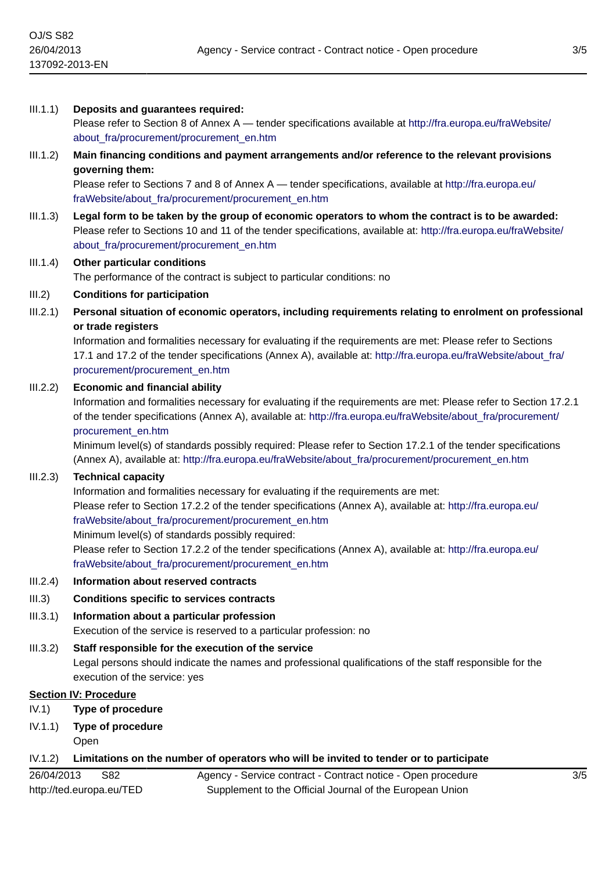## III.1.1) **Deposits and guarantees required:**

Please refer to Section 8 of Annex A — tender specifications available at [http://fra.europa.eu/fraWebsite/](http://fra.europa.eu/fraWebsite/about_fra/procurement/procurement_en.htm) [about\\_fra/procurement/procurement\\_en.htm](http://fra.europa.eu/fraWebsite/about_fra/procurement/procurement_en.htm)

# III.1.2) **Main financing conditions and payment arrangements and/or reference to the relevant provisions governing them:**

Please refer to Sections 7 and 8 of Annex A — tender specifications, available at [http://fra.europa.eu/](http://fra.europa.eu/fraWebsite/about_fra/procurement/procurement_en.htm) [fraWebsite/about\\_fra/procurement/procurement\\_en.htm](http://fra.europa.eu/fraWebsite/about_fra/procurement/procurement_en.htm)

III.1.3) **Legal form to be taken by the group of economic operators to whom the contract is to be awarded:** Please refer to Sections 10 and 11 of the tender specifications, available at: [http://fra.europa.eu/fraWebsite/](http://fra.europa.eu/fraWebsite/about_fra/procurement/procurement_en.htm) about fra/procurement/procurement en.htm

# III.1.4) **Other particular conditions**

The performance of the contract is subject to particular conditions: no

#### III.2) **Conditions for participation**

III.2.1) **Personal situation of economic operators, including requirements relating to enrolment on professional or trade registers**

Information and formalities necessary for evaluating if the requirements are met: Please refer to Sections 17.1 and 17.2 of the tender specifications (Annex A), available at: [http://fra.europa.eu/fraWebsite/about\\_fra/](http://fra.europa.eu/fraWebsite/about_fra/procurement/procurement_en.htm) [procurement/procurement\\_en.htm](http://fra.europa.eu/fraWebsite/about_fra/procurement/procurement_en.htm)

#### III.2.2) **Economic and financial ability**

Information and formalities necessary for evaluating if the requirements are met: Please refer to Section 17.2.1 of the tender specifications (Annex A), available at: [http://fra.europa.eu/fraWebsite/about\\_fra/procurement/](http://fra.europa.eu/fraWebsite/about_fra/procurement/procurement_en.htm) [procurement\\_en.htm](http://fra.europa.eu/fraWebsite/about_fra/procurement/procurement_en.htm)

Minimum level(s) of standards possibly required: Please refer to Section 17.2.1 of the tender specifications (Annex A), available at: [http://fra.europa.eu/fraWebsite/about\\_fra/procurement/procurement\\_en.htm](http://fra.europa.eu/fraWebsite/about_fra/procurement/procurement_en.htm)

### III.2.3) **Technical capacity**

Information and formalities necessary for evaluating if the requirements are met: Please refer to Section 17.2.2 of the tender specifications (Annex A), available at: [http://fra.europa.eu/](http://fra.europa.eu/fraWebsite/about_fra/procurement/procurement_en.htm) [fraWebsite/about\\_fra/procurement/procurement\\_en.htm](http://fra.europa.eu/fraWebsite/about_fra/procurement/procurement_en.htm) Minimum level(s) of standards possibly required:

Please refer to Section 17.2.2 of the tender specifications (Annex A), available at: [http://fra.europa.eu/](http://fra.europa.eu/fraWebsite/about_fra/procurement/procurement_en.htm) [fraWebsite/about\\_fra/procurement/procurement\\_en.htm](http://fra.europa.eu/fraWebsite/about_fra/procurement/procurement_en.htm)

#### III.2.4) **Information about reserved contracts**

### III.3) **Conditions specific to services contracts**

III.3.1) **Information about a particular profession** Execution of the service is reserved to a particular profession: no

#### III.3.2) **Staff responsible for the execution of the service**

Legal persons should indicate the names and professional qualifications of the staff responsible for the execution of the service: yes

## **Section IV: Procedure**

- IV.1) **Type of procedure**
- IV.1.1) **Type of procedure**
	- Open

# IV.1.2) **Limitations on the number of operators who will be invited to tender or to participate**

Agency - Service contract - Contract notice - Open procedure Supplement to the Official Journal of the European Union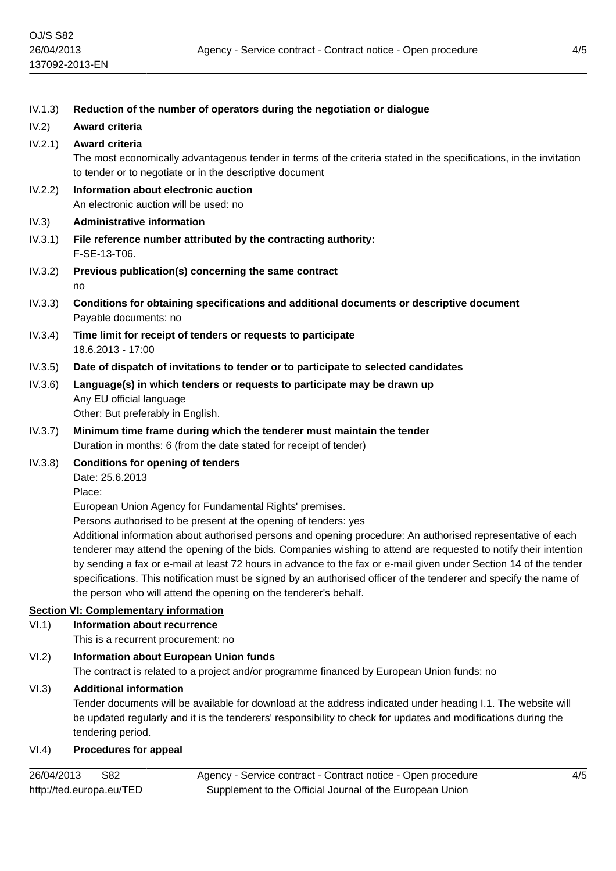| IV.1.3) | Reduction of the number of operators during the negotiation or dialogue                                                                                                        |
|---------|--------------------------------------------------------------------------------------------------------------------------------------------------------------------------------|
| IV.2)   | Award criteria                                                                                                                                                                 |
| IV.2.1) | Award criteria                                                                                                                                                                 |
|         | The most economically advantageous tender in terms of the criteria stated in the specifications, in the invitation<br>to tender or to negotiate or in the descriptive document |
| IV.2.2) | Information about electronic auction<br>An electronic auction will be used: no                                                                                                 |
| IV.3)   | <b>Administrative information</b>                                                                                                                                              |
| IV.3.1) | File reference number attributed by the contracting authority:<br>F-SE-13-T06.                                                                                                 |
| IV.3.2) | Previous publication(s) concerning the same contract                                                                                                                           |
|         | no                                                                                                                                                                             |
| IV.3.3) | Conditions for obtaining specifications and additional documents or descriptive document<br>Payable documents: no                                                              |
| IV.3.4) | Time limit for receipt of tenders or requests to participate<br>18.6.2013 - 17:00                                                                                              |
| IV.3.5) | Date of dispatch of invitations to tender or to participate to selected candidates                                                                                             |
| IV.3.6) | Language(s) in which tenders or requests to participate may be drawn up<br>Any EU official language<br>Other: But preferably in English.                                       |
| IV.3.7) | Minimum time frame during which the tenderer must maintain the tender                                                                                                          |
|         | Duration in months: 6 (from the date stated for receipt of tender)                                                                                                             |
| IV.3.8) | <b>Conditions for opening of tenders</b>                                                                                                                                       |
|         | Date: 25.6.2013                                                                                                                                                                |
|         | Place:                                                                                                                                                                         |
|         | European Union Agency for Fundamental Rights' premises.                                                                                                                        |
|         | Persons authorised to be present at the opening of tenders: yes<br>Additional information about authorised persons and opening procedure: An authorised representative of each |
|         | tenderer may attend the opening of the bids. Companies wishing to attend are requested to notify their intention                                                               |
|         | by sending a fax or e-mail at least 72 hours in advance to the fax or e-mail given under Section 14 of the tender                                                              |
|         | specifications. This notification must be signed by an authorised officer of the tenderer and specify the name of                                                              |
|         | the person who will attend the opening on the tenderer's behalf.                                                                                                               |
|         | <b>Section VI: Complementary information</b>                                                                                                                                   |
| VI.1)   | <b>Information about recurrence</b>                                                                                                                                            |
|         | This is a recurrent procurement: no                                                                                                                                            |
| VI.2)   | <b>Information about European Union funds</b><br>The contract is related to a project and/or programme financed by European Union funds: no                                    |
| VI.3)   | <b>Additional information</b>                                                                                                                                                  |
|         |                                                                                                                                                                                |

Tender documents will be available for download at the address indicated under heading I.1. The website will be updated regularly and it is the tenderers' responsibility to check for updates and modifications during the tendering period.

## VI.4) **Procedures for appeal**